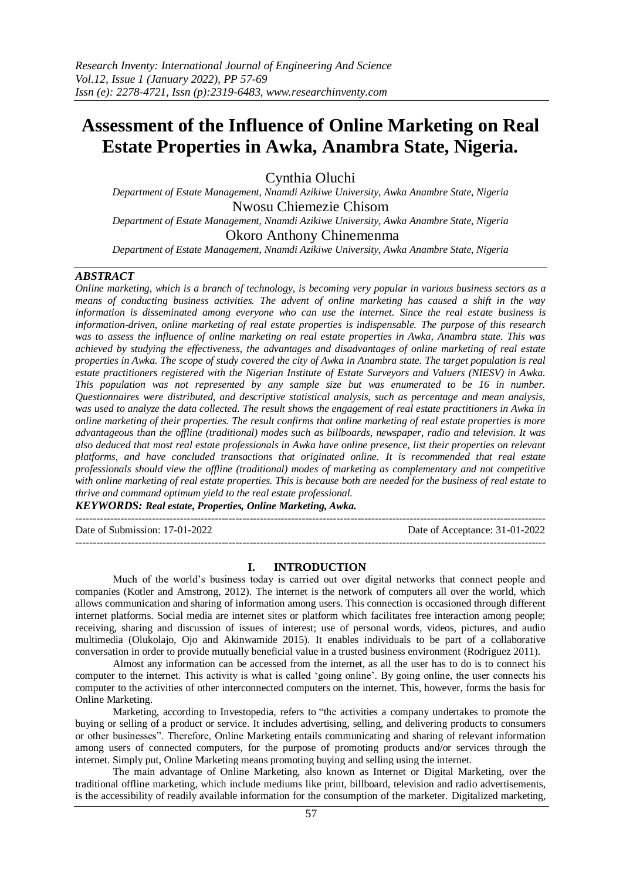# **Assessment of the Influence of Online Marketing on Real Estate Properties in Awka, Anambra State, Nigeria.**

Cynthia Oluchi

*Department of Estate Management, Nnamdi Azikiwe University, Awka Anambre State, Nigeria* Nwosu Chiemezie Chisom

*Department of Estate Management, Nnamdi Azikiwe University, Awka Anambre State, Nigeria*

# Okoro Anthony Chinemenma

*Department of Estate Management, Nnamdi Azikiwe University, Awka Anambre State, Nigeria*

## *ABSTRACT*

*Online marketing, which is a branch of technology, is becoming very popular in various business sectors as a means of conducting business activities. The advent of online marketing has caused a shift in the way information is disseminated among everyone who can use the internet. Since the real estate business is information-driven, online marketing of real estate properties is indispensable. The purpose of this research was to assess the influence of online marketing on real estate properties in Awka, Anambra state. This was achieved by studying the effectiveness, the advantages and disadvantages of online marketing of real estate properties in Awka. The scope of study covered the city of Awka in Anambra state. The target population is real estate practitioners registered with the Nigerian Institute of Estate Surveyors and Valuers (NIESV) in Awka. This population was not represented by any sample size but was enumerated to be 16 in number. Questionnaires were distributed, and descriptive statistical analysis, such as percentage and mean analysis, was used to analyze the data collected. The result shows the engagement of real estate practitioners in Awka in online marketing of their properties. The result confirms that online marketing of real estate properties is more advantageous than the offline (traditional) modes such as billboards, newspaper, radio and television. It was also deduced that most real estate professionals in Awka have online presence, list their properties on relevant platforms, and have concluded transactions that originated online. It is recommended that real estate professionals should view the offline (traditional) modes of marketing as complementary and not competitive with online marketing of real estate properties. This is because both are needed for the business of real estate to thrive and command optimum yield to the real estate professional.*

*KEYWORDS: Real estate, Properties, Online Marketing, Awka.*

--------------------------------------------------------------------------------------------------------------------------------------- Date of Submission: 17-01-2022 Date of Acceptance: 31-01-2022 ---------------------------------------------------------------------------------------------------------------------------------------

#### **I. INTRODUCTION**

Much of the world's business today is carried out over digital networks that connect people and companies (Kotler and Amstrong, 2012). The internet is the network of computers all over the world, which allows communication and sharing of information among users. This connection is occasioned through different internet platforms. Social media are internet sites or platform which facilitates free interaction among people; receiving, sharing and discussion of issues of interest; use of personal words, videos, pictures, and audio multimedia (Olukolajo, Ojo and Akinwamide 2015). It enables individuals to be part of a collaborative conversation in order to provide mutually beneficial value in a trusted business environment (Rodriguez 2011).

Almost any information can be accessed from the internet, as all the user has to do is to connect his computer to the internet. This activity is what is called 'going online'. By going online, the user connects his computer to the activities of other interconnected computers on the internet. This, however, forms the basis for Online Marketing.

Marketing, according to Investopedia, refers to "the activities a company undertakes to promote the buying or selling of a product or service. It includes advertising, selling, and delivering products to consumers or other businesses". Therefore, Online Marketing entails communicating and sharing of relevant information among users of connected computers, for the purpose of promoting products and/or services through the internet. Simply put, Online Marketing means promoting buying and selling using the internet.

The main advantage of Online Marketing, also known as Internet or Digital Marketing, over the traditional offline marketing, which include mediums like print, billboard, television and radio advertisements, is the accessibility of readily available information for the consumption of the marketer. Digitalized marketing,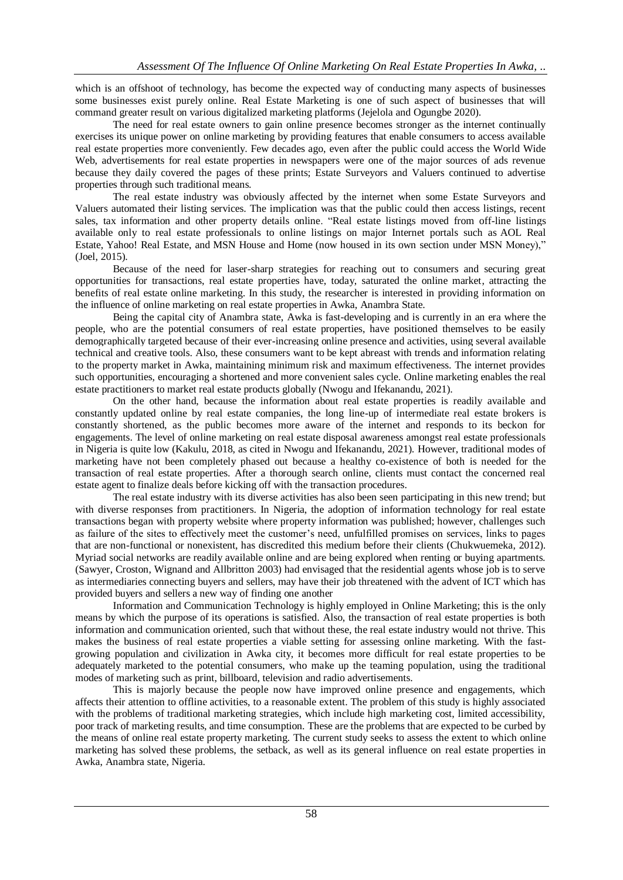which is an offshoot of technology, has become the expected way of conducting many aspects of businesses some businesses exist purely online. Real Estate Marketing is one of such aspect of businesses that will command greater result on various digitalized marketing platforms (Jejelola and Ogungbe 2020).

The need for real estate owners to gain online presence becomes stronger as the internet continually exercises its unique power on online marketing by providing features that enable consumers to access available real estate properties more conveniently. Few decades ago, even after the public could access the World Wide Web, advertisements for real estate properties in newspapers were one of the major sources of ads revenue because they daily covered the pages of these prints; Estate Surveyors and Valuers continued to advertise properties through such traditional means.

The real estate industry was obviously affected by the internet when some Estate Surveyors and Valuers automated their listing services. The implication was that the public could then access listings, recent sales, tax information and other property details online. "Real estate listings moved from off-line listings available only to real estate professionals to online listings on major Internet portals such as AOL Real Estate, Yahoo! Real Estate, and MSN House and Home (now housed in its own section under MSN Money)," (Joel, 2015).

Because of the need for laser-sharp strategies for reaching out to consumers and securing great opportunities for transactions, real estate properties have, today, saturated the online market, attracting the benefits of real estate online marketing. In this study, the researcher is interested in providing information on the influence of online marketing on real estate properties in Awka, Anambra State.

Being the capital city of Anambra state, Awka is fast-developing and is currently in an era where the people, who are the potential consumers of real estate properties, have positioned themselves to be easily demographically targeted because of their ever-increasing online presence and activities, using several available technical and creative tools. Also, these consumers want to be kept abreast with trends and information relating to the property market in Awka, maintaining minimum risk and maximum effectiveness. The internet provides such opportunities, encouraging a shortened and more convenient sales cycle. Online marketing enables the real estate practitioners to market real estate products globally (Nwogu and Ifekanandu, 2021).

On the other hand, because the information about real estate properties is readily available and constantly updated online by real estate companies, the long line-up of intermediate real estate brokers is constantly shortened, as the public becomes more aware of the internet and responds to its beckon for engagements. The level of online marketing on real estate disposal awareness amongst real estate professionals in Nigeria is quite low (Kakulu, 2018, as cited in Nwogu and Ifekanandu, 2021). However, traditional modes of marketing have not been completely phased out because a healthy co-existence of both is needed for the transaction of real estate properties. After a thorough search online, clients must contact the concerned real estate agent to finalize deals before kicking off with the transaction procedures.

The real estate industry with its diverse activities has also been seen participating in this new trend; but with diverse responses from practitioners. In Nigeria, the adoption of information technology for real estate transactions began with property website where property information was published; however, challenges such as failure of the sites to effectively meet the customer's need, unfulfilled promises on services, links to pages that are non-functional or nonexistent, has discredited this medium before their clients (Chukwuemeka, 2012). Myriad social networks are readily available online and are being explored when renting or buying apartments. (Sawyer, Croston, Wignand and Allbritton 2003) had envisaged that the residential agents whose job is to serve as intermediaries connecting buyers and sellers, may have their job threatened with the advent of ICT which has provided buyers and sellers a new way of finding one another

Information and Communication Technology is highly employed in Online Marketing; this is the only means by which the purpose of its operations is satisfied. Also, the transaction of real estate properties is both information and communication oriented, such that without these, the real estate industry would not thrive. This makes the business of real estate properties a viable setting for assessing online marketing. With the fastgrowing population and civilization in Awka city, it becomes more difficult for real estate properties to be adequately marketed to the potential consumers, who make up the teaming population, using the traditional modes of marketing such as print, billboard, television and radio advertisements.

This is majorly because the people now have improved online presence and engagements, which affects their attention to offline activities, to a reasonable extent. The problem of this study is highly associated with the problems of traditional marketing strategies, which include high marketing cost, limited accessibility, poor track of marketing results, and time consumption. These are the problems that are expected to be curbed by the means of online real estate property marketing. The current study seeks to assess the extent to which online marketing has solved these problems, the setback, as well as its general influence on real estate properties in Awka, Anambra state, Nigeria.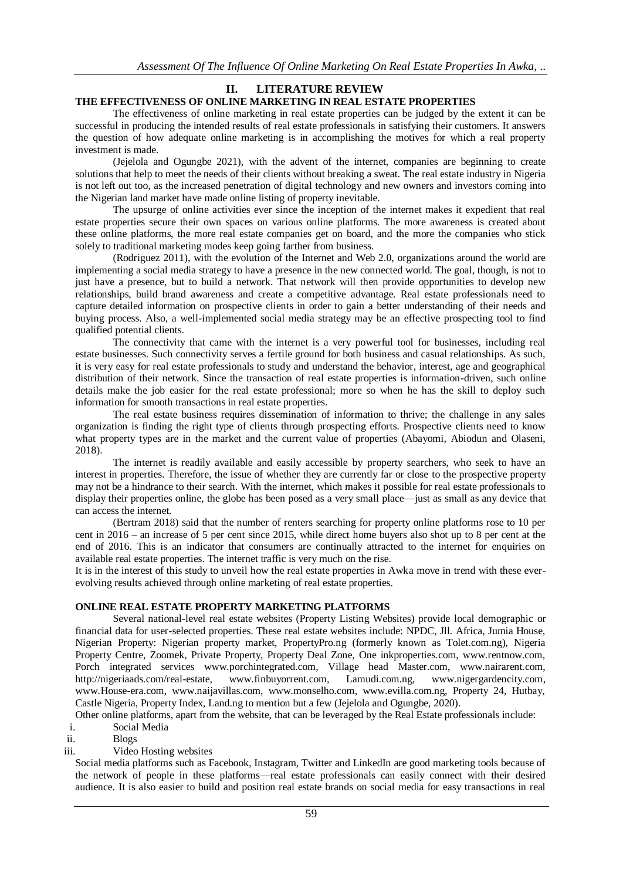# **II. LITERATURE REVIEW**

## **THE EFFECTIVENESS OF ONLINE MARKETING IN REAL ESTATE PROPERTIES**

The effectiveness of online marketing in real estate properties can be judged by the extent it can be successful in producing the intended results of real estate professionals in satisfying their customers. It answers the question of how adequate online marketing is in accomplishing the motives for which a real property investment is made.

(Jejelola and Ogungbe 2021), with the advent of the internet, companies are beginning to create solutions that help to meet the needs of their clients without breaking a sweat. The real estate industry in Nigeria is not left out too, as the increased penetration of digital technology and new owners and investors coming into the Nigerian land market have made online listing of property inevitable.

The upsurge of online activities ever since the inception of the internet makes it expedient that real estate properties secure their own spaces on various online platforms. The more awareness is created about these online platforms, the more real estate companies get on board, and the more the companies who stick solely to traditional marketing modes keep going farther from business.

(Rodriguez 2011), with the evolution of the Internet and Web 2.0, organizations around the world are implementing a social media strategy to have a presence in the new connected world. The goal, though, is not to just have a presence, but to build a network. That network will then provide opportunities to develop new relationships, build brand awareness and create a competitive advantage. Real estate professionals need to capture detailed information on prospective clients in order to gain a better understanding of their needs and buying process. Also, a well-implemented social media strategy may be an effective prospecting tool to find qualified potential clients.

The connectivity that came with the internet is a very powerful tool for businesses, including real estate businesses. Such connectivity serves a fertile ground for both business and casual relationships. As such, it is very easy for real estate professionals to study and understand the behavior, interest, age and geographical distribution of their network. Since the transaction of real estate properties is information-driven, such online details make the job easier for the real estate professional; more so when he has the skill to deploy such information for smooth transactions in real estate properties.

The real estate business requires dissemination of information to thrive; the challenge in any sales organization is finding the right type of clients through prospecting efforts. Prospective clients need to know what property types are in the market and the current value of properties (Abayomi, Abiodun and Olaseni, 2018).

The internet is readily available and easily accessible by property searchers, who seek to have an interest in properties. Therefore, the issue of whether they are currently far or close to the prospective property may not be a hindrance to their search. With the internet, which makes it possible for real estate professionals to display their properties online, the globe has been posed as a very small place—just as small as any device that can access the internet.

(Bertram 2018) said that the number of renters searching for property online platforms rose to 10 per cent in 2016 – an increase of 5 per cent since 2015, while direct home buyers also shot up to 8 per cent at the end of 2016. This is an indicator that consumers are continually attracted to the internet for enquiries on available real estate properties. The internet traffic is very much on the rise.

It is in the interest of this study to unveil how the real estate properties in Awka move in trend with these everevolving results achieved through online marketing of real estate properties.

## **ONLINE REAL ESTATE PROPERTY MARKETING PLATFORMS**

Several national-level real estate websites (Property Listing Websites) provide local demographic or financial data for user-selected properties. These real estate websites include: NPDC, Jll. Africa, Jumia House, Nigerian Property: Nigerian property market, PropertyPro.ng (formerly known as Tolet.com.ng), Nigeria Property Centre, Zoomek, Private Property, Property Deal Zone, One inkproperties.com, www.rentnow.com, Porch integrated services www.porchintegrated.com, Village head Master.com, www.nairarent.com, http://nigeriaads.com/real-estate, www.finbuyorrent.com, Lamudi.com.ng, www.nigergardencity.com, www.House-era.com, www.naijavillas.com, www.monselho.com, www.evilla.com.ng, Property 24, Hutbay, Castle Nigeria, Property Index, Land.ng to mention but a few (Jejelola and Ogungbe, 2020).

Other online platforms, apart from the website, that can be leveraged by the Real Estate professionals include:

i. Social Media

- ii. Blogs
- iii. Video Hosting websites

Social media platforms such as Facebook, Instagram, Twitter and LinkedIn are good marketing tools because of the network of people in these platforms—real estate professionals can easily connect with their desired audience. It is also easier to build and position real estate brands on social media for easy transactions in real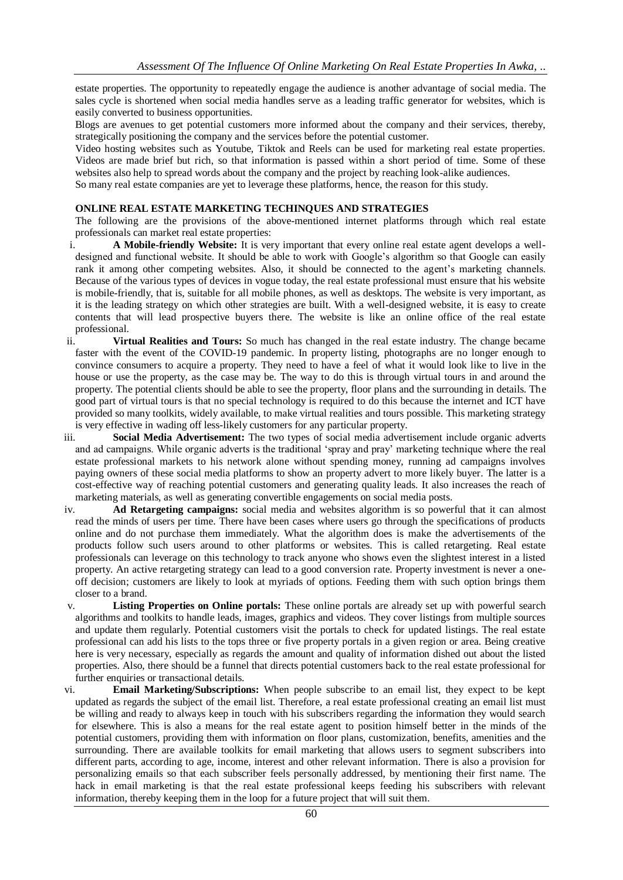estate properties. The opportunity to repeatedly engage the audience is another advantage of social media. The sales cycle is shortened when social media handles serve as a leading traffic generator for websites, which is easily converted to business opportunities.

Blogs are avenues to get potential customers more informed about the company and their services, thereby, strategically positioning the company and the services before the potential customer.

Video hosting websites such as Youtube, Tiktok and Reels can be used for marketing real estate properties. Videos are made brief but rich, so that information is passed within a short period of time. Some of these websites also help to spread words about the company and the project by reaching look-alike audiences. So many real estate companies are yet to leverage these platforms, hence, the reason for this study.

#### **ONLINE REAL ESTATE MARKETING TECHINQUES AND STRATEGIES**

The following are the provisions of the above-mentioned internet platforms through which real estate professionals can market real estate properties:

- i. **A Mobile-friendly Website:** It is very important that every online real estate agent develops a welldesigned and functional website. It should be able to work with Google's algorithm so that Google can easily rank it among other competing websites. Also, it should be connected to the agent's marketing channels. Because of the various types of devices in vogue today, the real estate professional must ensure that his website is mobile-friendly, that is, suitable for all mobile phones, as well as desktops. The website is very important, as it is the leading strategy on which other strategies are built. With a well-designed website, it is easy to create contents that will lead prospective buyers there. The website is like an online office of the real estate professional.
- ii. **Virtual Realities and Tours:** So much has changed in the real estate industry. The change became faster with the event of the COVID-19 pandemic. In property listing, photographs are no longer enough to convince consumers to acquire a property. They need to have a feel of what it would look like to live in the house or use the property, as the case may be. The way to do this is through virtual tours in and around the property. The potential clients should be able to see the property, floor plans and the surrounding in details. The good part of virtual tours is that no special technology is required to do this because the internet and ICT have provided so many toolkits, widely available, to make virtual realities and tours possible. This marketing strategy is very effective in wading off less-likely customers for any particular property.
- iii. **Social Media Advertisement:** The two types of social media advertisement include organic adverts and ad campaigns. While organic adverts is the traditional 'spray and pray' marketing technique where the real estate professional markets to his network alone without spending money, running ad campaigns involves paying owners of these social media platforms to show an property advert to more likely buyer. The latter is a cost-effective way of reaching potential customers and generating quality leads. It also increases the reach of marketing materials, as well as generating convertible engagements on social media posts.
- iv. **Ad Retargeting campaigns:** social media and websites algorithm is so powerful that it can almost read the minds of users per time. There have been cases where users go through the specifications of products online and do not purchase them immediately. What the algorithm does is make the advertisements of the products follow such users around to other platforms or websites. This is called retargeting. Real estate professionals can leverage on this technology to track anyone who shows even the slightest interest in a listed property. An active retargeting strategy can lead to a good conversion rate. Property investment is never a oneoff decision; customers are likely to look at myriads of options. Feeding them with such option brings them closer to a brand.
- v. **Listing Properties on Online portals:** These online portals are already set up with powerful search algorithms and toolkits to handle leads, images, graphics and videos. They cover listings from multiple sources and update them regularly. Potential customers visit the portals to check for updated listings. The real estate professional can add his lists to the tops three or five property portals in a given region or area. Being creative here is very necessary, especially as regards the amount and quality of information dished out about the listed properties. Also, there should be a funnel that directs potential customers back to the real estate professional for further enquiries or transactional details.
- vi. **Email Marketing/Subscriptions:** When people subscribe to an email list, they expect to be kept updated as regards the subject of the email list. Therefore, a real estate professional creating an email list must be willing and ready to always keep in touch with his subscribers regarding the information they would search for elsewhere. This is also a means for the real estate agent to position himself better in the minds of the potential customers, providing them with information on floor plans, customization, benefits, amenities and the surrounding. There are available toolkits for email marketing that allows users to segment subscribers into different parts, according to age, income, interest and other relevant information. There is also a provision for personalizing emails so that each subscriber feels personally addressed, by mentioning their first name. The hack in email marketing is that the real estate professional keeps feeding his subscribers with relevant information, thereby keeping them in the loop for a future project that will suit them.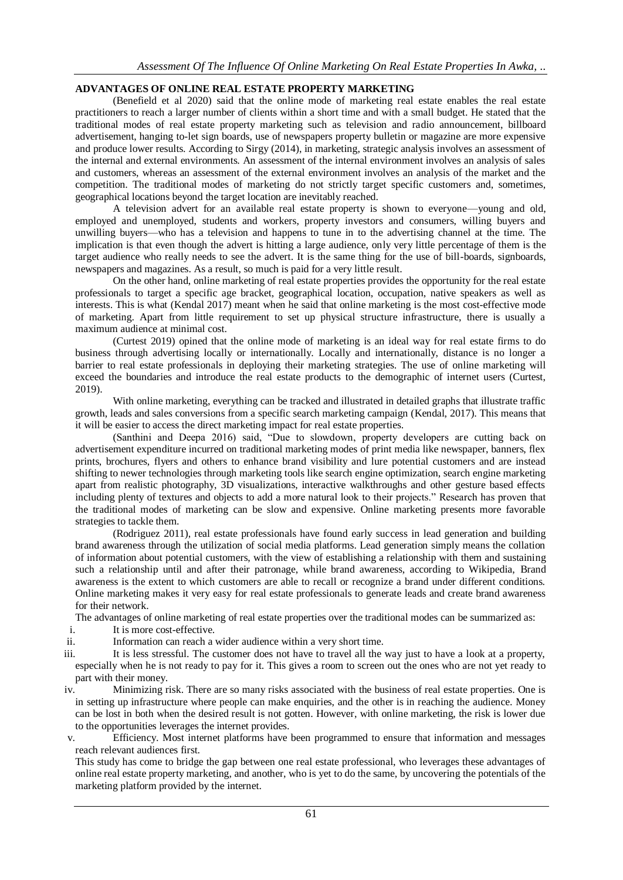## **ADVANTAGES OF ONLINE REAL ESTATE PROPERTY MARKETING**

(Benefield et al 2020) said that the online mode of marketing real estate enables the real estate practitioners to reach a larger number of clients within a short time and with a small budget. He stated that the traditional modes of real estate property marketing such as television and radio announcement, billboard advertisement, hanging to-let sign boards, use of newspapers property bulletin or magazine are more expensive and produce lower results. According to Sirgy (2014), in marketing, strategic analysis involves an assessment of the internal and external environments. An assessment of the internal environment involves an analysis of sales and customers, whereas an assessment of the external environment involves an analysis of the market and the competition. The traditional modes of marketing do not strictly target specific customers and, sometimes, geographical locations beyond the target location are inevitably reached.

A television advert for an available real estate property is shown to everyone—young and old, employed and unemployed, students and workers, property investors and consumers, willing buyers and unwilling buyers—who has a television and happens to tune in to the advertising channel at the time. The implication is that even though the advert is hitting a large audience, only very little percentage of them is the target audience who really needs to see the advert. It is the same thing for the use of bill-boards, signboards, newspapers and magazines. As a result, so much is paid for a very little result.

On the other hand, online marketing of real estate properties provides the opportunity for the real estate professionals to target a specific age bracket, geographical location, occupation, native speakers as well as interests. This is what (Kendal 2017) meant when he said that online marketing is the most cost-effective mode of marketing. Apart from little requirement to set up physical structure infrastructure, there is usually a maximum audience at minimal cost.

(Curtest 2019) opined that the online mode of marketing is an ideal way for real estate firms to do business through advertising locally or internationally. Locally and internationally, distance is no longer a barrier to real estate professionals in deploying their marketing strategies. The use of online marketing will exceed the boundaries and introduce the real estate products to the demographic of internet users (Curtest, 2019).

With online marketing, everything can be tracked and illustrated in detailed graphs that illustrate traffic growth, leads and sales conversions from a specific search marketing campaign (Kendal, 2017). This means that it will be easier to access the direct marketing impact for real estate properties.

(Santhini and Deepa 2016) said, "Due to slowdown, property developers are cutting back on advertisement expenditure incurred on traditional marketing modes of print media like newspaper, banners, flex prints, brochures, flyers and others to enhance brand visibility and lure potential customers and are instead shifting to newer technologies through marketing tools like search engine optimization, search engine marketing apart from realistic photography, 3D visualizations, interactive walkthroughs and other gesture based effects including plenty of textures and objects to add a more natural look to their projects." Research has proven that the traditional modes of marketing can be slow and expensive. Online marketing presents more favorable strategies to tackle them.

(Rodriguez 2011), real estate professionals have found early success in lead generation and building brand awareness through the utilization of social media platforms. Lead generation simply means the collation of information about potential customers, with the view of establishing a relationship with them and sustaining such a relationship until and after their patronage, while brand awareness, according to Wikipedia, Brand awareness is the extent to which customers are able to recall or recognize a brand under different conditions. Online marketing makes it very easy for real estate professionals to generate leads and create brand awareness for their network.

The advantages of online marketing of real estate properties over the traditional modes can be summarized as:

- i. It is more cost-effective.
- ii. Information can reach a wider audience within a very short time.
- iii. It is less stressful. The customer does not have to travel all the way just to have a look at a property, especially when he is not ready to pay for it. This gives a room to screen out the ones who are not yet ready to part with their money.
- iv. Minimizing risk. There are so many risks associated with the business of real estate properties. One is in setting up infrastructure where people can make enquiries, and the other is in reaching the audience. Money can be lost in both when the desired result is not gotten. However, with online marketing, the risk is lower due to the opportunities leverages the internet provides.

v. Efficiency. Most internet platforms have been programmed to ensure that information and messages reach relevant audiences first.

This study has come to bridge the gap between one real estate professional, who leverages these advantages of online real estate property marketing, and another, who is yet to do the same, by uncovering the potentials of the marketing platform provided by the internet.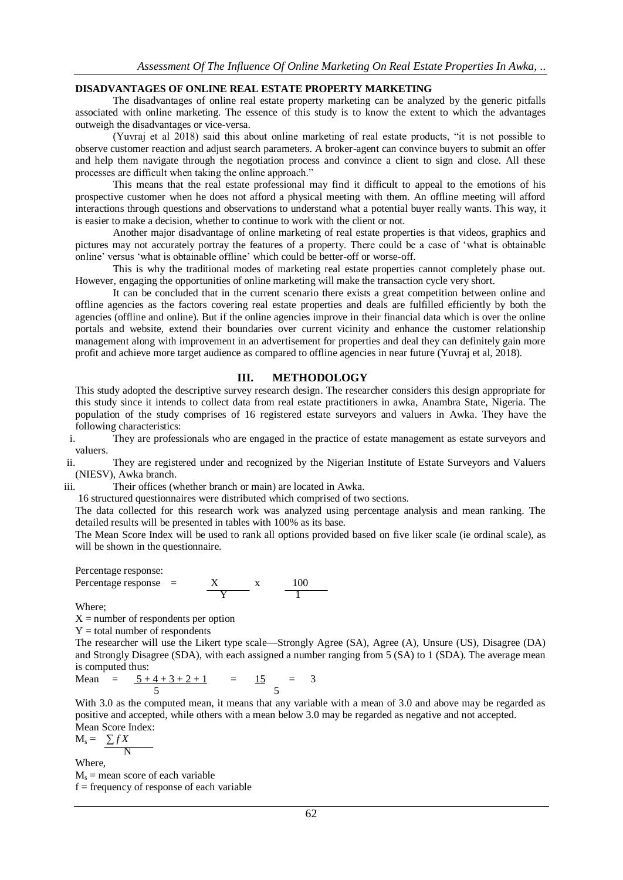# **DISADVANTAGES OF ONLINE REAL ESTATE PROPERTY MARKETING**

The disadvantages of online real estate property marketing can be analyzed by the generic pitfalls associated with online marketing. The essence of this study is to know the extent to which the advantages outweigh the disadvantages or vice-versa.

(Yuvraj et al 2018) said this about online marketing of real estate products, "it is not possible to observe customer reaction and adjust search parameters. A broker-agent can convince buyers to submit an offer and help them navigate through the negotiation process and convince a client to sign and close. All these processes are difficult when taking the online approach."

This means that the real estate professional may find it difficult to appeal to the emotions of his prospective customer when he does not afford a physical meeting with them. An offline meeting will afford interactions through questions and observations to understand what a potential buyer really wants. This way, it is easier to make a decision, whether to continue to work with the client or not.

Another major disadvantage of online marketing of real estate properties is that videos, graphics and pictures may not accurately portray the features of a property. There could be a case of 'what is obtainable online' versus 'what is obtainable offline' which could be better-off or worse-off.

This is why the traditional modes of marketing real estate properties cannot completely phase out. However, engaging the opportunities of online marketing will make the transaction cycle very short.

It can be concluded that in the current scenario there exists a great competition between online and offline agencies as the factors covering real estate properties and deals are fulfilled efficiently by both the agencies (offline and online). But if the online agencies improve in their financial data which is over the online portals and website, extend their boundaries over current vicinity and enhance the customer relationship management along with improvement in an advertisement for properties and deal they can definitely gain more profit and achieve more target audience as compared to offline agencies in near future (Yuvraj et al, 2018).

## **III. METHODOLOGY**

This study adopted the descriptive survey research design. The researcher considers this design appropriate for this study since it intends to collect data from real estate practitioners in awka, Anambra State, Nigeria. The population of the study comprises of 16 registered estate surveyors and valuers in Awka. They have the following characteristics:

i. They are professionals who are engaged in the practice of estate management as estate surveyors and valuers.

ii. They are registered under and recognized by the Nigerian Institute of Estate Surveyors and Valuers (NIESV), Awka branch.

iii. Their offices (whether branch or main) are located in Awka.

16 structured questionnaires were distributed which comprised of two sections.

The data collected for this research work was analyzed using percentage analysis and mean ranking. The detailed results will be presented in tables with 100% as its base.

The Mean Score Index will be used to rank all options provided based on five liker scale (ie ordinal scale), as will be shown in the questionnaire.

Percentage response:

Percentage response = 
$$
\frac{X}{Y}
$$
 x  $\frac{100}{1}$ 

Where;

 $X =$  number of respondents per option

 $Y =$  total number of respondents

The researcher will use the Likert type scale—Strongly Agree (SA), Agree (A), Unsure (US), Disagree (DA) and Strongly Disagree (SDA), with each assigned a number ranging from 5 (SA) to 1 (SDA). The average mean is computed thus:

Mean 
$$
=
$$
  $\frac{5+4+3+2+1}{5} = \frac{15}{5} = 3$ 

With 3.0 as the computed mean, it means that any variable with a mean of 3.0 and above may be regarded as positive and accepted, while others with a mean below 3.0 may be regarded as negative and not accepted. Mean Score Index:

$$
M_s = \frac{\sum f X}{N}
$$

Where,

 $M_s$  = mean score of each variable  $f = frequency of response of each variable$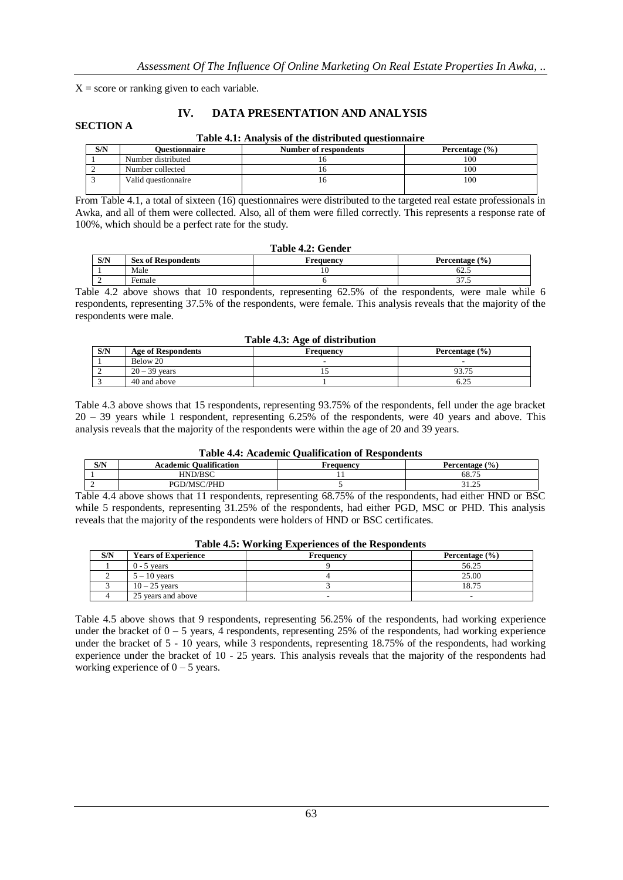$X =$  score or ranking given to each variable.

## **IV. DATA PRESENTATION AND ANALYSIS**

## **SECTION A**

#### **Table 4.1: Analysis of the distributed questionnaire**

| S/N | Ouestionnaire       | <b>Number of respondents</b> | Percentage $(\% )$ |
|-----|---------------------|------------------------------|--------------------|
|     | Number distributed  |                              | 100                |
|     | Number collected    |                              | 100                |
|     | Valid questionnaire |                              | 100                |

From Table 4.1, a total of sixteen (16) questionnaires were distributed to the targeted real estate professionals in Awka, and all of them were collected. Also, all of them were filled correctly. This represents a response rate of 100%, which should be a perfect rate for the study.

# **Table 4.2: Gender**

| S/N | of Respondents<br>Sex of           | requency!<br>. | (9/0)<br>Percentage .            |
|-----|------------------------------------|----------------|----------------------------------|
|     | Male                               | 10             | $\overline{\phantom{a}}$<br>62.5 |
|     | $\overline{\phantom{0}}$<br>Female |                | $\sim$ $-$<br>ر. ، ر             |

Table 4.2 above shows that 10 respondents, representing 62.5% of the respondents, were male while 6 respondents, representing 37.5% of the respondents, were female. This analysis reveals that the majority of the respondents were male.

#### **Table 4.3: Age of distribution**

| S/N | <b>Age of Respondents</b> | Frequency | Percentage $(\% )$ |
|-----|---------------------------|-----------|--------------------|
|     | Below 20                  |           |                    |
|     | $20 - 39$ vears           |           | 93.75              |
|     | 40 and above              |           | 0.ZJ               |

Table 4.3 above shows that 15 respondents, representing 93.75% of the respondents, fell under the age bracket 20 – 39 years while 1 respondent, representing 6.25% of the respondents, were 40 years and above. This analysis reveals that the majority of the respondents were within the age of 20 and 39 years.

### **Table 4.4: Academic Qualification of Respondents**

| S/N | <b>Oualification</b><br><b>Academic</b> | requency | (9/0)<br><b>Percentage</b> |
|-----|-----------------------------------------|----------|----------------------------|
|     | HND/BSC                                 |          | 68.75                      |
| ∽   | /PHD                                    |          | $\sim$ $\sim$<br>----      |

Table 4.4 above shows that 11 respondents, representing 68.75% of the respondents, had either HND or BSC while 5 respondents, representing 31.25% of the respondents, had either PGD, MSC or PHD. This analysis reveals that the majority of the respondents were holders of HND or BSC certificates.

|     |                            | A WALLY THE FILL OF MANAGE ASIAN VALUED ON VALUE A LUMB VALUED MAN |                    |
|-----|----------------------------|--------------------------------------------------------------------|--------------------|
| S/N | <b>Years of Experience</b> | Frequency                                                          | Percentage $(\% )$ |
|     | $0 - 5$ vears              |                                                                    | 56.25              |
|     | $5 - 10$ vears             |                                                                    | 25.00              |
|     | $10 - 25$ vears            |                                                                    | 18.75              |
|     | 25 years and above         |                                                                    |                    |

#### **Table 4.5: Working Experiences of the Respondents**

Table 4.5 above shows that 9 respondents, representing 56.25% of the respondents, had working experience under the bracket of  $0 - 5$  years, 4 respondents, representing 25% of the respondents, had working experience under the bracket of 5 - 10 years, while 3 respondents, representing 18.75% of the respondents, had working experience under the bracket of 10 - 25 years. This analysis reveals that the majority of the respondents had working experience of  $0 - 5$  years.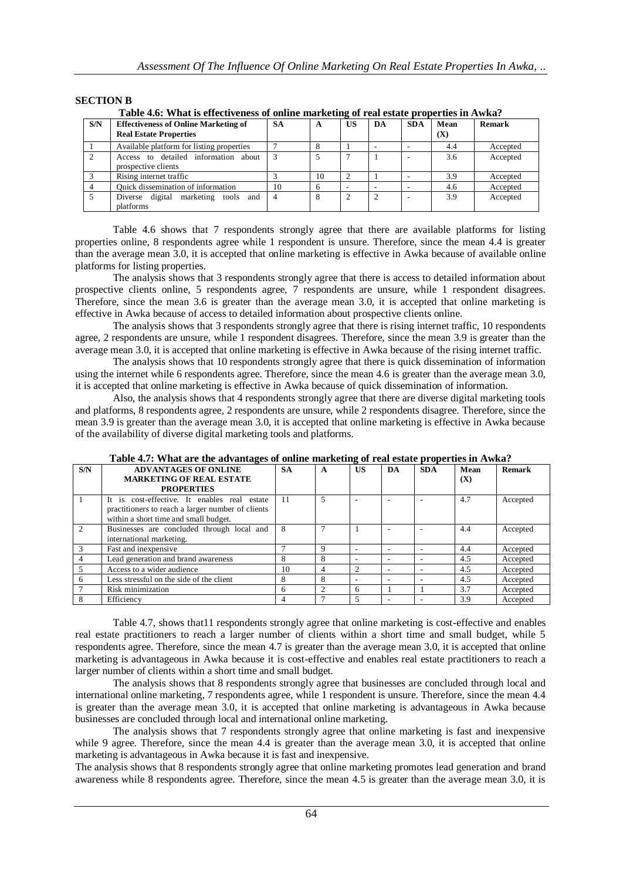## **SECTION B**

|     | Table 4.0: What is effectiveness of online marketing of real estate properties in Awka? |           |    |    |    |            |             |               |
|-----|-----------------------------------------------------------------------------------------|-----------|----|----|----|------------|-------------|---------------|
| S/N | <b>Effectiveness of Online Marketing of</b><br><b>Real Estate Properties</b>            | <b>SA</b> | A  | US | DA | <b>SDA</b> | Mean<br>(X) | <b>Remark</b> |
|     | Available platform for listing properties                                               |           |    |    |    |            | 4.4         | Accepted      |
|     | Access to detailed information about<br>prospective clients                             |           |    |    |    |            | 3.6         | Accepted      |
|     | Rising internet traffic                                                                 |           | 10 |    |    |            | 3.9         | Accepted      |
|     | Ouick dissemination of information                                                      | 10        | h  |    |    |            | 4.6         | Accepted      |
|     | Diverse digital marketing tools and<br>platforms                                        |           |    |    | 2  |            | 3.9         | Accepted      |

**Table 4.6: What is effectiveness of online marketing of real estate properties in Awka?**

Table 4.6 shows that 7 respondents strongly agree that there are available platforms for listing properties online, 8 respondents agree while 1 respondent is unsure. Therefore, since the mean 4.4 is greater than the average mean 3.0, it is accepted that online marketing is effective in Awka because of available online platforms for listing properties.

The analysis shows that 3 respondents strongly agree that there is access to detailed information about prospective clients online, 5 respondents agree, 7 respondents are unsure, while 1 respondent disagrees. Therefore, since the mean 3.6 is greater than the average mean 3.0, it is accepted that online marketing is effective in Awka because of access to detailed information about prospective clients online.

The analysis shows that 3 respondents strongly agree that there is rising internet traffic, 10 respondents agree, 2 respondents are unsure, while 1 respondent disagrees. Therefore, since the mean 3.9 is greater than the average mean 3.0, it is accepted that online marketing is effective in Awka because of the rising internet traffic.

The analysis shows that 10 respondents strongly agree that there is quick dissemination of information using the internet while 6 respondents agree. Therefore, since the mean 4.6 is greater than the average mean 3.0, it is accepted that online marketing is effective in Awka because of quick dissemination of information.

Also, the analysis shows that 4 respondents strongly agree that there are diverse digital marketing tools and platforms, 8 respondents agree, 2 respondents are unsure, while 2 respondents disagree. Therefore, since the mean 3.9 is greater than the average mean 3.0, it is accepted that online marketing is effective in Awka because of the availability of diverse digital marketing tools and platforms.

| S/N           | <b>ADVANTAGES OF ONLINE</b><br><b>MARKETING OF REAL ESTATE</b><br><b>PROPERTIES</b>                                                        | <b>SA</b>    | A | US                       | DA | <b>SDA</b> | Mean<br>(X) | <b>Remark</b> |
|---------------|--------------------------------------------------------------------------------------------------------------------------------------------|--------------|---|--------------------------|----|------------|-------------|---------------|
|               | It is cost-effective. It enables real estate<br>practitioners to reach a larger number of clients<br>within a short time and small budget. | 11           | 5 |                          | ۰  |            | 4.7         | Accepted      |
| $\mathcal{D}$ | Businesses are concluded through local and<br>international marketing.                                                                     | 8            |   |                          |    |            | 4.4         | Accepted      |
| $\mathcal{R}$ | Fast and inexpensive                                                                                                                       |              | Q |                          |    |            | 4.4         | Accepted      |
| 4             | Lead generation and brand awareness                                                                                                        | 8            | 8 | $\overline{\phantom{a}}$ | -  |            | 4.5         | Accepted      |
| $\sim$        | Access to a wider audience                                                                                                                 | 10           |   | $\mathcal{D}$            |    |            | 4.5         | Accepted      |
| -6            | Less stressful on the side of the client                                                                                                   | 8            | 8 | $\overline{\phantom{a}}$ |    |            | 4.5         | Accepted      |
|               | Risk minimization                                                                                                                          | <sub>(</sub> |   | 6                        |    |            | 3.7         | Accepted      |
| 8             | Efficiency                                                                                                                                 |              |   | 5                        |    |            | 3.9         | Accepted      |

**Table 4.7: What are the advantages of online marketing of real estate properties in Awka?**

Table 4.7, shows that11 respondents strongly agree that online marketing is cost-effective and enables real estate practitioners to reach a larger number of clients within a short time and small budget, while 5 respondents agree. Therefore, since the mean 4.7 is greater than the average mean 3.0, it is accepted that online marketing is advantageous in Awka because it is cost-effective and enables real estate practitioners to reach a larger number of clients within a short time and small budget.

The analysis shows that 8 respondents strongly agree that businesses are concluded through local and international online marketing, 7 respondents agree, while 1 respondent is unsure. Therefore, since the mean 4.4 is greater than the average mean 3.0, it is accepted that online marketing is advantageous in Awka because businesses are concluded through local and international online marketing.

The analysis shows that 7 respondents strongly agree that online marketing is fast and inexpensive while 9 agree. Therefore, since the mean 4.4 is greater than the average mean 3.0, it is accepted that online marketing is advantageous in Awka because it is fast and inexpensive.

The analysis shows that 8 respondents strongly agree that online marketing promotes lead generation and brand awareness while 8 respondents agree. Therefore, since the mean 4.5 is greater than the average mean 3.0, it is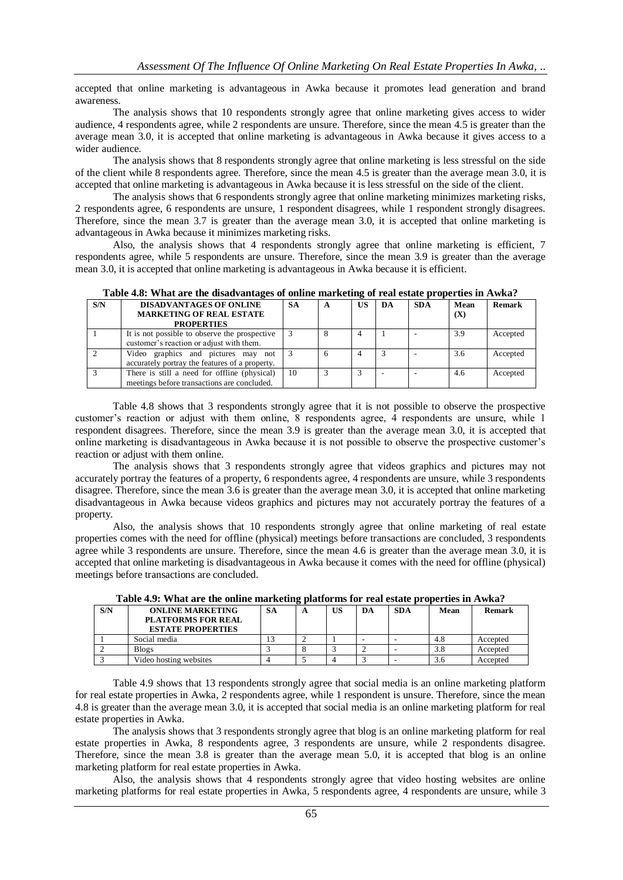accepted that online marketing is advantageous in Awka because it promotes lead generation and brand awareness.

The analysis shows that 10 respondents strongly agree that online marketing gives access to wider audience, 4 respondents agree, while 2 respondents are unsure. Therefore, since the mean 4.5 is greater than the average mean 3.0, it is accepted that online marketing is advantageous in Awka because it gives access to a wider audience.

The analysis shows that 8 respondents strongly agree that online marketing is less stressful on the side of the client while 8 respondents agree. Therefore, since the mean 4.5 is greater than the average mean 3.0, it is accepted that online marketing is advantageous in Awka because it is less stressful on the side of the client.

The analysis shows that 6 respondents strongly agree that online marketing minimizes marketing risks, 2 respondents agree, 6 respondents are unsure, 1 respondent disagrees, while 1 respondent strongly disagrees. Therefore, since the mean 3.7 is greater than the average mean 3.0, it is accepted that online marketing is advantageous in Awka because it minimizes marketing risks.

Also, the analysis shows that 4 respondents strongly agree that online marketing is efficient, 7 respondents agree, while 5 respondents are unsure. Therefore, since the mean 3.9 is greater than the average mean 3.0, it is accepted that online marketing is advantageous in Awka because it is efficient.

| S/N | <b>DISADVANTAGES OF ONLINE</b>                 | <b>SA</b> | A | US | DA | <b>SDA</b> | Mean | <b>Remark</b> |
|-----|------------------------------------------------|-----------|---|----|----|------------|------|---------------|
|     | <b>MARKETING OF REAL ESTATE</b>                |           |   |    |    |            | (X)  |               |
|     | <b>PROPERTIES</b>                              |           |   |    |    |            |      |               |
|     | It is not possible to observe the prospective  |           |   |    |    |            | 3.9  | Accepted      |
|     | customer's reaction or adjust with them.       |           |   |    |    |            |      |               |
|     | Video graphics and pictures may not            |           | 6 |    |    |            | 3.6  | Accepted      |
|     | accurately portray the features of a property. |           |   |    |    |            |      |               |
|     | There is still a need for offline (physical)   | 10        |   |    |    |            | 4.6  | Accepted      |
|     | meetings before transactions are concluded.    |           |   |    |    |            |      |               |

**Table 4.8: What are the disadvantages of online marketing of real estate properties in Awka?**

Table 4.8 shows that 3 respondents strongly agree that it is not possible to observe the prospective customer's reaction or adjust with them online, 8 respondents agree, 4 respondents are unsure, while 1 respondent disagrees. Therefore, since the mean 3.9 is greater than the average mean 3.0, it is accepted that online marketing is disadvantageous in Awka because it is not possible to observe the prospective customer's reaction or adjust with them online.

The analysis shows that 3 respondents strongly agree that videos graphics and pictures may not accurately portray the features of a property, 6 respondents agree, 4 respondents are unsure, while 3 respondents disagree. Therefore, since the mean 3.6 is greater than the average mean 3.0, it is accepted that online marketing disadvantageous in Awka because videos graphics and pictures may not accurately portray the features of a property.

Also, the analysis shows that 10 respondents strongly agree that online marketing of real estate properties comes with the need for offline (physical) meetings before transactions are concluded, 3 respondents agree while 3 respondents are unsure. Therefore, since the mean 4.6 is greater than the average mean 3.0, it is accepted that online marketing is disadvantageous in Awka because it comes with the need for offline (physical) meetings before transactions are concluded.

| S/N | <b>ONLINE MARKETING</b>   | SА | A | US | DA | <b>SDA</b> | Mean | Remark   |
|-----|---------------------------|----|---|----|----|------------|------|----------|
|     | <b>PLATFORMS FOR REAL</b> |    |   |    |    |            |      |          |
|     | <b>ESTATE PROPERTIES</b>  |    |   |    |    |            |      |          |
|     | Social media              |    |   |    |    |            | 4.8  | Accepted |
|     | Blogs                     |    |   |    |    |            |      | Accepted |
|     | Video hosting websites    |    |   |    |    |            | 3.O  | Accepted |

**Table 4.9: What are the online marketing platforms for real estate properties in Awka?**

Table 4.9 shows that 13 respondents strongly agree that social media is an online marketing platform for real estate properties in Awka, 2 respondents agree, while 1 respondent is unsure. Therefore, since the mean 4.8 is greater than the average mean 3.0, it is accepted that social media is an online marketing platform for real estate properties in Awka.

The analysis shows that 3 respondents strongly agree that blog is an online marketing platform for real estate properties in Awka, 8 respondents agree, 3 respondents are unsure, while 2 respondents disagree. Therefore, since the mean 3.8 is greater than the average mean 5.0, it is accepted that blog is an online marketing platform for real estate properties in Awka.

Also, the analysis shows that 4 respondents strongly agree that video hosting websites are online marketing platforms for real estate properties in Awka, 5 respondents agree, 4 respondents are unsure, while 3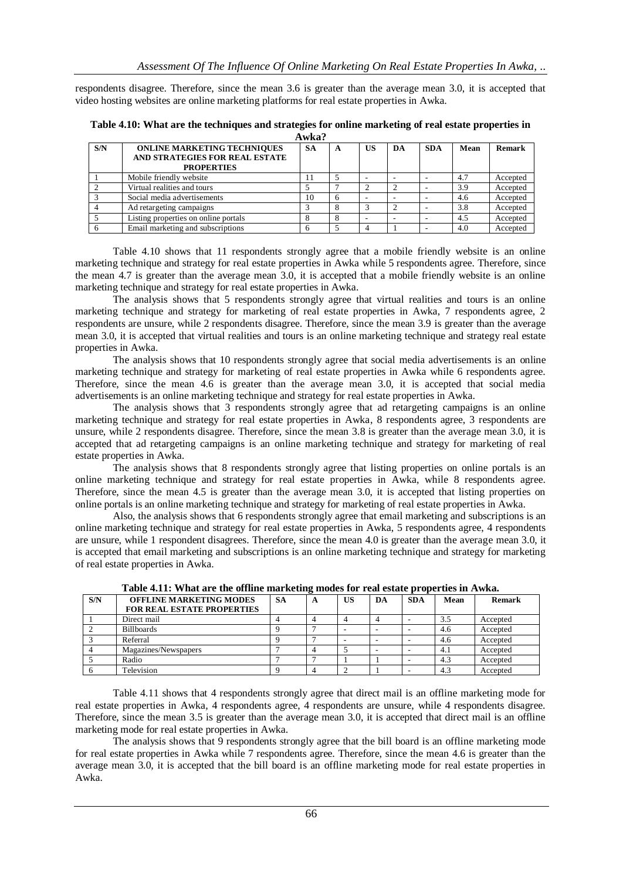respondents disagree. Therefore, since the mean 3.6 is greater than the average mean 3.0, it is accepted that video hosting websites are online marketing platforms for real estate properties in Awka.

| S/N | <b>ONLINE MARKETING TECHNIQUES</b><br>AND STRATEGIES FOR REAL ESTATE<br><b>PROPERTIES</b> | <b>SA</b> | A | US | DA | <b>SDA</b> | Mean | Remark   |
|-----|-------------------------------------------------------------------------------------------|-----------|---|----|----|------------|------|----------|
|     | Mobile friendly website                                                                   |           |   |    |    |            | 4.7  | Accepted |
|     | Virtual realities and tours                                                               |           |   |    |    |            | 3.9  | Accepted |
|     | Social media advertisements                                                               | 10        |   |    |    |            | 4.6  | Accepted |
|     | Ad retargeting campaigns                                                                  |           |   |    |    |            | 3.8  | Accepted |
|     | Listing properties on online portals                                                      |           |   |    |    |            | 4.5  | Accepted |
|     | Email marketing and subscriptions                                                         |           |   |    |    |            | 4.0  | Accepted |

**Table 4.10: What are the techniques and strategies for online marketing of real estate properties in Awka?**

Table 4.10 shows that 11 respondents strongly agree that a mobile friendly website is an online marketing technique and strategy for real estate properties in Awka while 5 respondents agree. Therefore, since the mean 4.7 is greater than the average mean 3.0, it is accepted that a mobile friendly website is an online marketing technique and strategy for real estate properties in Awka.

The analysis shows that 5 respondents strongly agree that virtual realities and tours is an online marketing technique and strategy for marketing of real estate properties in Awka, 7 respondents agree, 2 respondents are unsure, while 2 respondents disagree. Therefore, since the mean 3.9 is greater than the average mean 3.0, it is accepted that virtual realities and tours is an online marketing technique and strategy real estate properties in Awka.

The analysis shows that 10 respondents strongly agree that social media advertisements is an online marketing technique and strategy for marketing of real estate properties in Awka while 6 respondents agree. Therefore, since the mean 4.6 is greater than the average mean 3.0, it is accepted that social media advertisements is an online marketing technique and strategy for real estate properties in Awka.

The analysis shows that 3 respondents strongly agree that ad retargeting campaigns is an online marketing technique and strategy for real estate properties in Awka, 8 respondents agree, 3 respondents are unsure, while 2 respondents disagree. Therefore, since the mean 3.8 is greater than the average mean 3.0, it is accepted that ad retargeting campaigns is an online marketing technique and strategy for marketing of real estate properties in Awka.

The analysis shows that 8 respondents strongly agree that listing properties on online portals is an online marketing technique and strategy for real estate properties in Awka, while 8 respondents agree. Therefore, since the mean 4.5 is greater than the average mean 3.0, it is accepted that listing properties on online portals is an online marketing technique and strategy for marketing of real estate properties in Awka.

Also, the analysis shows that 6 respondents strongly agree that email marketing and subscriptions is an online marketing technique and strategy for real estate properties in Awka, 5 respondents agree, 4 respondents are unsure, while 1 respondent disagrees. Therefore, since the mean 4.0 is greater than the average mean 3.0, it is accepted that email marketing and subscriptions is an online marketing technique and strategy for marketing of real estate properties in Awka.

| S/N | <b>OFFLINE MARKETING MODES</b>    | <b>SA</b> | A | US | DA | <b>SDA</b> | Mean | Remark   |
|-----|-----------------------------------|-----------|---|----|----|------------|------|----------|
|     | <b>FOR REAL ESTATE PROPERTIES</b> |           |   |    |    |            |      |          |
|     | Direct mail                       |           |   |    |    |            | 3.5  | Accepted |
|     | <b>Billboards</b>                 |           |   |    |    |            | 4.6  | Accepted |
|     | Referral                          |           |   |    |    |            | 4.6  | Accepted |
|     | Magazines/Newspapers              |           |   |    |    |            | 4.1  | Accepted |
|     | Radio                             |           |   |    |    |            | 4.3  | Accepted |
|     | Television                        |           |   |    |    |            | 4.3  | Accepted |

**Table 4.11: What are the offline marketing modes for real estate properties in Awka.**

Table 4.11 shows that 4 respondents strongly agree that direct mail is an offline marketing mode for real estate properties in Awka, 4 respondents agree, 4 respondents are unsure, while 4 respondents disagree. Therefore, since the mean 3.5 is greater than the average mean 3.0, it is accepted that direct mail is an offline marketing mode for real estate properties in Awka.

The analysis shows that 9 respondents strongly agree that the bill board is an offline marketing mode for real estate properties in Awka while 7 respondents agree. Therefore, since the mean 4.6 is greater than the average mean 3.0, it is accepted that the bill board is an offline marketing mode for real estate properties in Awka.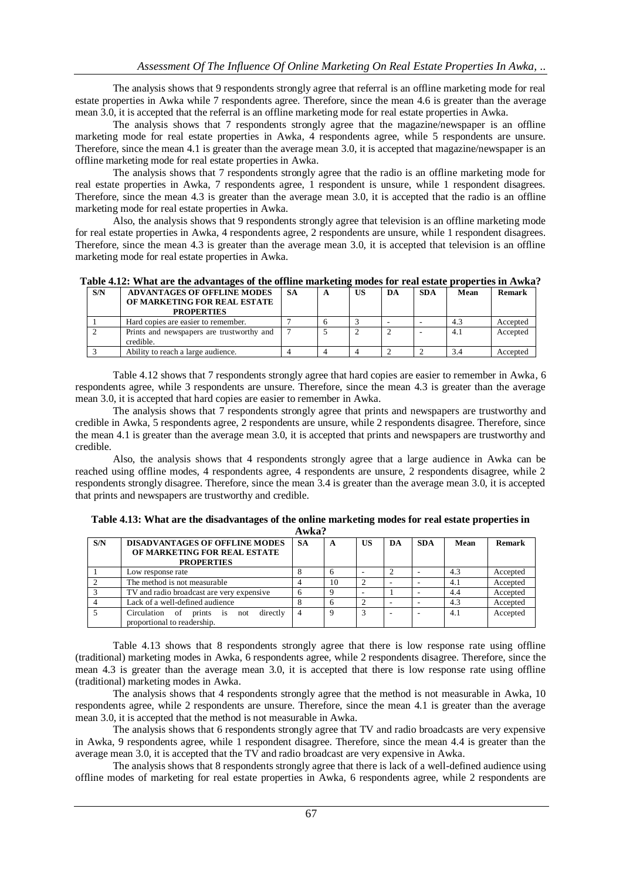The analysis shows that 9 respondents strongly agree that referral is an offline marketing mode for real estate properties in Awka while 7 respondents agree. Therefore, since the mean 4.6 is greater than the average mean 3.0, it is accepted that the referral is an offline marketing mode for real estate properties in Awka.

The analysis shows that 7 respondents strongly agree that the magazine/newspaper is an offline marketing mode for real estate properties in Awka, 4 respondents agree, while 5 respondents are unsure. Therefore, since the mean 4.1 is greater than the average mean 3.0, it is accepted that magazine/newspaper is an offline marketing mode for real estate properties in Awka.

The analysis shows that 7 respondents strongly agree that the radio is an offline marketing mode for real estate properties in Awka, 7 respondents agree, 1 respondent is unsure, while 1 respondent disagrees. Therefore, since the mean 4.3 is greater than the average mean 3.0, it is accepted that the radio is an offline marketing mode for real estate properties in Awka.

Also, the analysis shows that 9 respondents strongly agree that television is an offline marketing mode for real estate properties in Awka, 4 respondents agree, 2 respondents are unsure, while 1 respondent disagrees. Therefore, since the mean 4.3 is greater than the average mean 3.0, it is accepted that television is an offline marketing mode for real estate properties in Awka.

| Table 4.12: What are the advantages of the offline marketing modes for real estate properties in Awka? |  |  |
|--------------------------------------------------------------------------------------------------------|--|--|
|                                                                                                        |  |  |

| S/N | <b>ADVANTAGES OF OFFLINE MODES</b>                     | <b>SA</b> | A | US | DA | <b>SDA</b> | Mean | Remark   |
|-----|--------------------------------------------------------|-----------|---|----|----|------------|------|----------|
|     | OF MARKETING FOR REAL ESTATE                           |           |   |    |    |            |      |          |
|     | <b>PROPERTIES</b>                                      |           |   |    |    |            |      |          |
|     | Hard copies are easier to remember.                    |           |   |    |    |            | 4.3  | Accepted |
|     | Prints and newspapers are trustworthy and<br>credible. |           |   |    |    |            | 4.1  | Accepted |
|     | Ability to reach a large audience.                     |           |   |    |    |            |      | Accepted |

Table 4.12 shows that 7 respondents strongly agree that hard copies are easier to remember in Awka, 6 respondents agree, while 3 respondents are unsure. Therefore, since the mean 4.3 is greater than the average mean 3.0, it is accepted that hard copies are easier to remember in Awka.

The analysis shows that 7 respondents strongly agree that prints and newspapers are trustworthy and credible in Awka, 5 respondents agree, 2 respondents are unsure, while 2 respondents disagree. Therefore, since the mean 4.1 is greater than the average mean 3.0, it is accepted that prints and newspapers are trustworthy and credible.

Also, the analysis shows that 4 respondents strongly agree that a large audience in Awka can be reached using offline modes, 4 respondents agree, 4 respondents are unsure, 2 respondents disagree, while 2 respondents strongly disagree. Therefore, since the mean 3.4 is greater than the average mean 3.0, it is accepted that prints and newspapers are trustworthy and credible.

| S/N | <b>DISADVANTAGES OF OFFLINE MODES</b>     | <b>SA</b> | A        | US | DA | <b>SDA</b> | Mean | <b>Remark</b> |  |  |
|-----|-------------------------------------------|-----------|----------|----|----|------------|------|---------------|--|--|
|     | OF MARKETING FOR REAL ESTATE              |           |          |    |    |            |      |               |  |  |
|     | <b>PROPERTIES</b>                         |           |          |    |    |            |      |               |  |  |
|     | Low response rate                         |           |          |    |    |            | 4.3  | Accepted      |  |  |
|     | The method is not measurable              |           | 10       |    |    |            | 4.1  | Accepted      |  |  |
|     | TV and radio broadcast are very expensive |           |          |    |    |            | 4.4  | Accepted      |  |  |
|     | Lack of a well-defined audience           |           |          |    |    |            | 4.3  | Accepted      |  |  |
|     | Circulation of prints is not<br>directly  |           | $\Omega$ |    |    |            | 4.1  | Accepted      |  |  |
|     | proportional to readership.               |           |          |    |    |            |      |               |  |  |

**Table 4.13: What are the disadvantages of the online marketing modes for real estate properties in Awka?**

Table 4.13 shows that 8 respondents strongly agree that there is low response rate using offline (traditional) marketing modes in Awka, 6 respondents agree, while 2 respondents disagree. Therefore, since the mean 4.3 is greater than the average mean 3.0, it is accepted that there is low response rate using offline (traditional) marketing modes in Awka.

The analysis shows that 4 respondents strongly agree that the method is not measurable in Awka, 10 respondents agree, while 2 respondents are unsure. Therefore, since the mean 4.1 is greater than the average mean 3.0, it is accepted that the method is not measurable in Awka.

The analysis shows that 6 respondents strongly agree that TV and radio broadcasts are very expensive in Awka, 9 respondents agree, while 1 respondent disagree. Therefore, since the mean 4.4 is greater than the average mean 3.0, it is accepted that the TV and radio broadcast are very expensive in Awka.

The analysis shows that 8 respondents strongly agree that there is lack of a well-defined audience using offline modes of marketing for real estate properties in Awka, 6 respondents agree, while 2 respondents are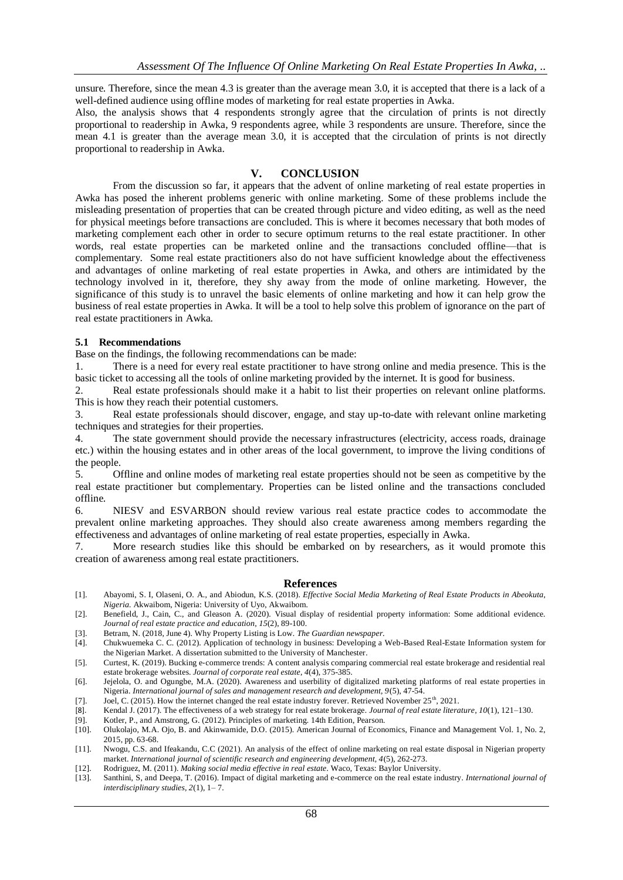unsure. Therefore, since the mean 4.3 is greater than the average mean 3.0, it is accepted that there is a lack of a well-defined audience using offline modes of marketing for real estate properties in Awka.

Also, the analysis shows that 4 respondents strongly agree that the circulation of prints is not directly proportional to readership in Awka, 9 respondents agree, while 3 respondents are unsure. Therefore, since the mean 4.1 is greater than the average mean 3.0, it is accepted that the circulation of prints is not directly proportional to readership in Awka.

### **V. CONCLUSION**

From the discussion so far, it appears that the advent of online marketing of real estate properties in Awka has posed the inherent problems generic with online marketing. Some of these problems include the misleading presentation of properties that can be created through picture and video editing, as well as the need for physical meetings before transactions are concluded. This is where it becomes necessary that both modes of marketing complement each other in order to secure optimum returns to the real estate practitioner. In other words, real estate properties can be marketed online and the transactions concluded offline—that is complementary. Some real estate practitioners also do not have sufficient knowledge about the effectiveness and advantages of online marketing of real estate properties in Awka, and others are intimidated by the technology involved in it, therefore, they shy away from the mode of online marketing. However, the significance of this study is to unravel the basic elements of online marketing and how it can help grow the business of real estate properties in Awka. It will be a tool to help solve this problem of ignorance on the part of real estate practitioners in Awka.

### **5.1 Recommendations**

Base on the findings, the following recommendations can be made:

1. There is a need for every real estate practitioner to have strong online and media presence. This is the basic ticket to accessing all the tools of online marketing provided by the internet. It is good for business.

2. Real estate professionals should make it a habit to list their properties on relevant online platforms. This is how they reach their potential customers.

3. Real estate professionals should discover, engage, and stay up-to-date with relevant online marketing techniques and strategies for their properties.

4. The state government should provide the necessary infrastructures (electricity, access roads, drainage etc.) within the housing estates and in other areas of the local government, to improve the living conditions of the people.

5. Offline and online modes of marketing real estate properties should not be seen as competitive by the real estate practitioner but complementary. Properties can be listed online and the transactions concluded offline.

6. NIESV and ESVARBON should review various real estate practice codes to accommodate the prevalent online marketing approaches. They should also create awareness among members regarding the effectiveness and advantages of online marketing of real estate properties, especially in Awka.

7. More research studies like this should be embarked on by researchers, as it would promote this creation of awareness among real estate practitioners.

#### **References**

- [1]. Abayomi, S. I, Olaseni, O. A., and Abiodun, K.S. (2018). *Effective Social Media Marketing of Real Estate Products in Abeokuta, Nigeria.* Akwaibom, Nigeria: University of Uyo, Akwaibom.
- [2]. Benefield, J., Cain, C., and Gleason A. (2020). Visual display of residential property information: Some additional evidence. *Journal of real estate practice and education, 15*(2), 89-100.
- [3]. Betram, N. (2018, June 4). Why Property Listing is Low. *The Guardian newspaper.*
- [4]. Chukwuemeka C. C. (2012). Application of technology in business: Developing a Web-Based Real-Estate Information system for the Nigerian Market. A dissertation submitted to the University of Manchester.

[5]. Curtest, K. (2019). Bucking e-commerce trends: A content analysis comparing commercial real estate brokerage and residential real estate brokerage websites. *Journal of corporate real estate*, *4*(4), 375-385.

- [6]. Jejelola, O. and Ogungbe, M.A. (2020). Awareness and userbility of digitalized marketing platforms of real estate properties in Nigeria. *International journal of sales and management research and development, 9*(5), 47-54.
- [7]. Joel, C. (2015). How the internet changed the real estate industry forever. Retrieved November 25<sup>th</sup>, 2021.
- [8]. Kendal J. (2017). The effectiveness of a web strategy for real estate brokerage. *Journal of real estate literature*, *10*(1), 121–130.
- [9]. Kotler, P., and Amstrong, G. (2012). Principles of marketing. 14th Edition, Pearson.
- [10]. Olukolajo, M.A. Ojo, B. and Akinwamide, D.O. (2015). American Journal of Economics, Finance and Management Vol. 1, No. 2, 2015, pp. 63-68.
- [11]. Nwogu, C.S. and Ifeakandu, C.C (2021). An analysis of the effect of online marketing on real estate disposal in Nigerian property market. *International journal of scientific research and engineering development, 4*(5), 262-273.
- [12]. Rodriguez, M. (2011). *Making social media effective in real estate*. Waco, Texas: Baylor University.
- [13]. Santhini, S, and Deepa, T. (2016). Impact of digital marketing and e-commerce on the real estate industry. *International journal of interdisciplinary studies, 2*(1), 1– 7.